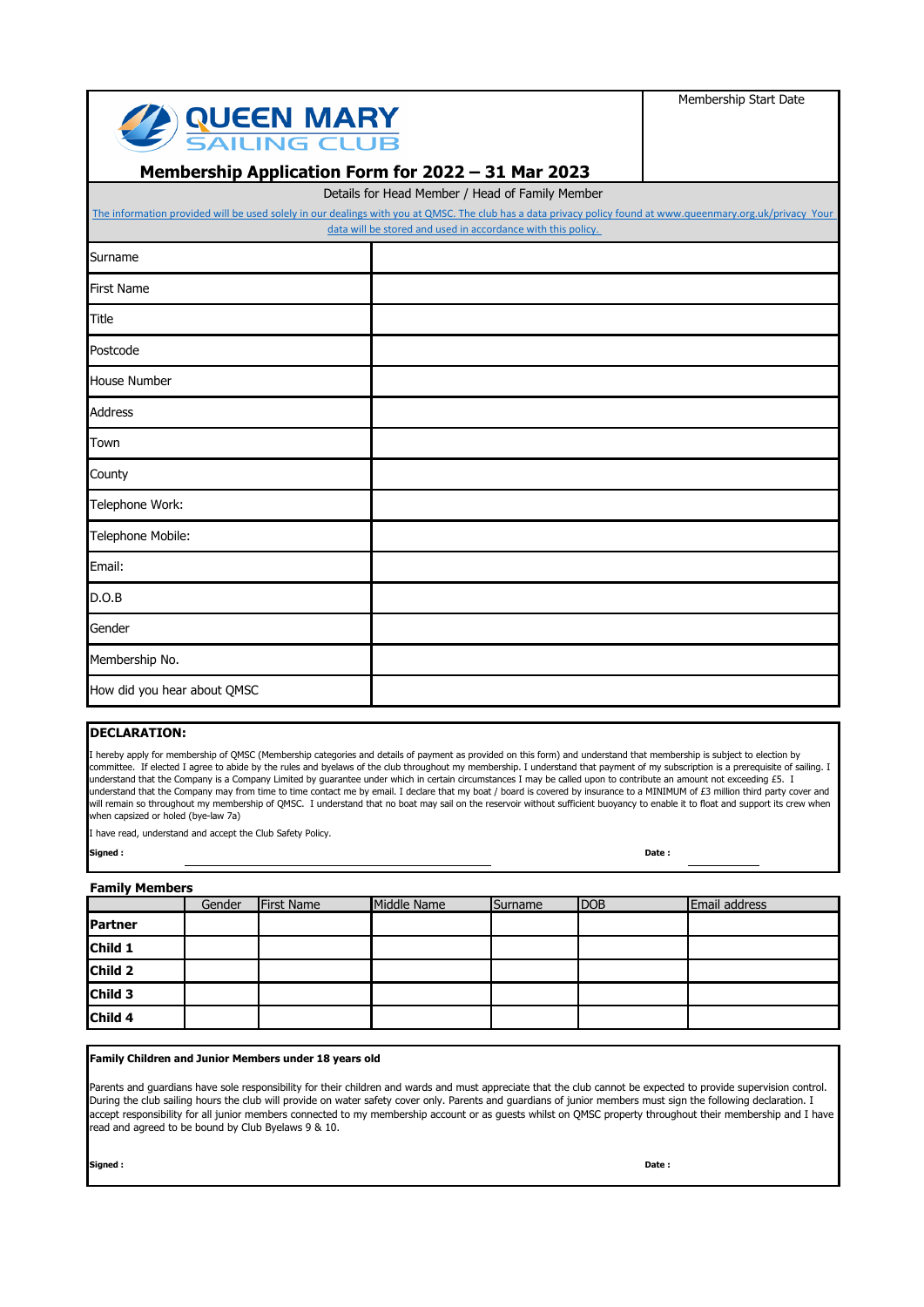| <b>SAILING CLUB</b><br>Membership Application Form for 2022 - 31 Mar 2023                                                                                                                                       |                                                              | Membership Start Date |  |  |  |  |
|-----------------------------------------------------------------------------------------------------------------------------------------------------------------------------------------------------------------|--------------------------------------------------------------|-----------------------|--|--|--|--|
| Details for Head Member / Head of Family Member<br>The information provided will be used solely in our dealings with you at QMSC. The club has a data privacy policy found at www.queenmary.org.uk/privacy Your |                                                              |                       |  |  |  |  |
|                                                                                                                                                                                                                 | data will be stored and used in accordance with this policy. |                       |  |  |  |  |
| Surname                                                                                                                                                                                                         |                                                              |                       |  |  |  |  |
| <b>First Name</b>                                                                                                                                                                                               |                                                              |                       |  |  |  |  |
| <b>Title</b>                                                                                                                                                                                                    |                                                              |                       |  |  |  |  |
| Postcode                                                                                                                                                                                                        |                                                              |                       |  |  |  |  |
| <b>House Number</b>                                                                                                                                                                                             |                                                              |                       |  |  |  |  |
| <b>Address</b>                                                                                                                                                                                                  |                                                              |                       |  |  |  |  |
| Town                                                                                                                                                                                                            |                                                              |                       |  |  |  |  |
| County                                                                                                                                                                                                          |                                                              |                       |  |  |  |  |
| Telephone Work:                                                                                                                                                                                                 |                                                              |                       |  |  |  |  |
| Telephone Mobile:                                                                                                                                                                                               |                                                              |                       |  |  |  |  |
| Email:                                                                                                                                                                                                          |                                                              |                       |  |  |  |  |
| D.O.B                                                                                                                                                                                                           |                                                              |                       |  |  |  |  |
| Gender                                                                                                                                                                                                          |                                                              |                       |  |  |  |  |
| Membership No.                                                                                                                                                                                                  |                                                              |                       |  |  |  |  |
| How did you hear about QMSC                                                                                                                                                                                     |                                                              |                       |  |  |  |  |

### **DECLARATION:**

I hereby apply for membership of QMSC (Membership categories and details of payment as provided on this form) and understand that membership is subject to election by committee. If elected I agree to abide by the rules and byelaws of the club throughout my membership. I understand that payment of my subscription is a prerequisite of sailing. I understand that the Company is a Company Limited by guarantee under which in certain circumstances I may be called upon to contribute an amount not exceeding £5. I understand that the Company may from time to time contact me by email. I declare that my boat / board is covered by insurance to a MINIMUM of £3 million third party cover and will remain so throughout my membership of QMSC. I understand that no boat may sail on the reservoir without sufficient buoyancy to enable it to float and support its crew when when capsized or holed (bye-law 7a)

I have read, understand and accept the Club Safety Policy.

**Signed : Date :** 

#### **Family Members**

|                | Gender | <b>First Name</b> | Middle Name | Surname | DOB | Email address |
|----------------|--------|-------------------|-------------|---------|-----|---------------|
| <b>Partner</b> |        |                   |             |         |     |               |
| Child 1        |        |                   |             |         |     |               |
| Child 2        |        |                   |             |         |     |               |
| Child 3        |        |                   |             |         |     |               |
| Child 4        |        |                   |             |         |     |               |

#### **Family Children and Junior Members under 18 years old**

Parents and guardians have sole responsibility for their children and wards and must appreciate that the club cannot be expected to provide supervision control. During the club sailing hours the club will provide on water safety cover only. Parents and guardians of junior members must sign the following declaration. I accept responsibility for all junior members connected to my membership account or as guests whilst on QMSC property throughout their membership and I have read and agreed to be bound by Club Byelaws 9 & 10.

**Signed : Date :**